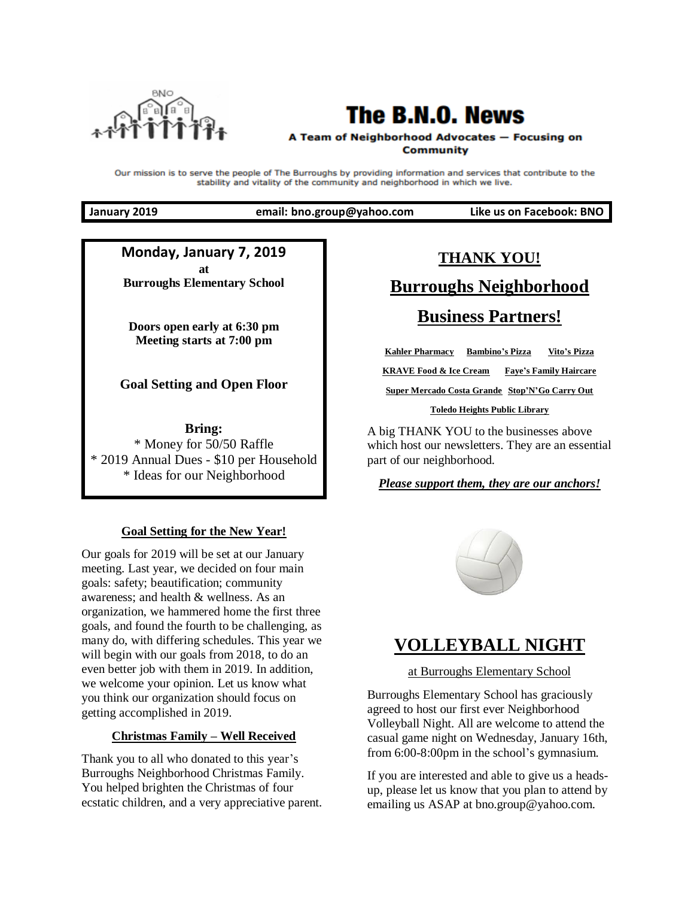

## **The B.N.O. News**

#### A Team of Neighborhood Advocates - Focusing on **Community**

Our mission is to serve the people of The Burroughs by providing information and services that contribute to the stability and vitality of the community and neighborhood in which we live.

**January 2019 email: bno.group@yahoo.com Like us on Facebook: BNO**

**Monday, January 7, 2019 at Burroughs Elementary School**

**Doors open early at 6:30 pm Meeting starts at 7:00 pm**

**Goal Setting and Open Floor**

**Bring:** \* Money for 50/50 Raffle \* 2019 Annual Dues - \$10 per Household \* Ideas for our Neighborhood

#### **Goal Setting for the New Year!**

Our goals for 2019 will be set at our January meeting. Last year, we decided on four main goals: safety; beautification; community awareness; and health & wellness. As an organization, we hammered home the first three goals, and found the fourth to be challenging, as many do, with differing schedules. This year we will begin with our goals from 2018, to do an even better job with them in 2019. In addition, we welcome your opinion. Let us know what you think our organization should focus on getting accomplished in 2019.

#### **Christmas Family – Well Received**

Thank you to all who donated to this year's Burroughs Neighborhood Christmas Family. You helped brighten the Christmas of four ecstatic children, and a very appreciative parent.

# **THANK YOU! Burroughs Neighborhood Business Partners!**

**Kahler Pharmacy Bambino's Pizza Vito's Pizza KRAVE Food & Ice Cream Faye's Family Haircare Super Mercado Costa Grande Stop'N'Go Carry Out Toledo Heights Public Library**

A big THANK YOU to the businesses above which host our newsletters. They are an essential part of our neighborhood.

#### *Please support them, they are our anchors!*



## **VOLLEYBALL NIGHT**

at Burroughs Elementary School

Burroughs Elementary School has graciously agreed to host our first ever Neighborhood Volleyball Night. All are welcome to attend the casual game night on Wednesday, January 16th, from 6:00-8:00pm in the school's gymnasium.

If you are interested and able to give us a headsup, please let us know that you plan to attend by emailing us ASAP at bno.group@yahoo.com.